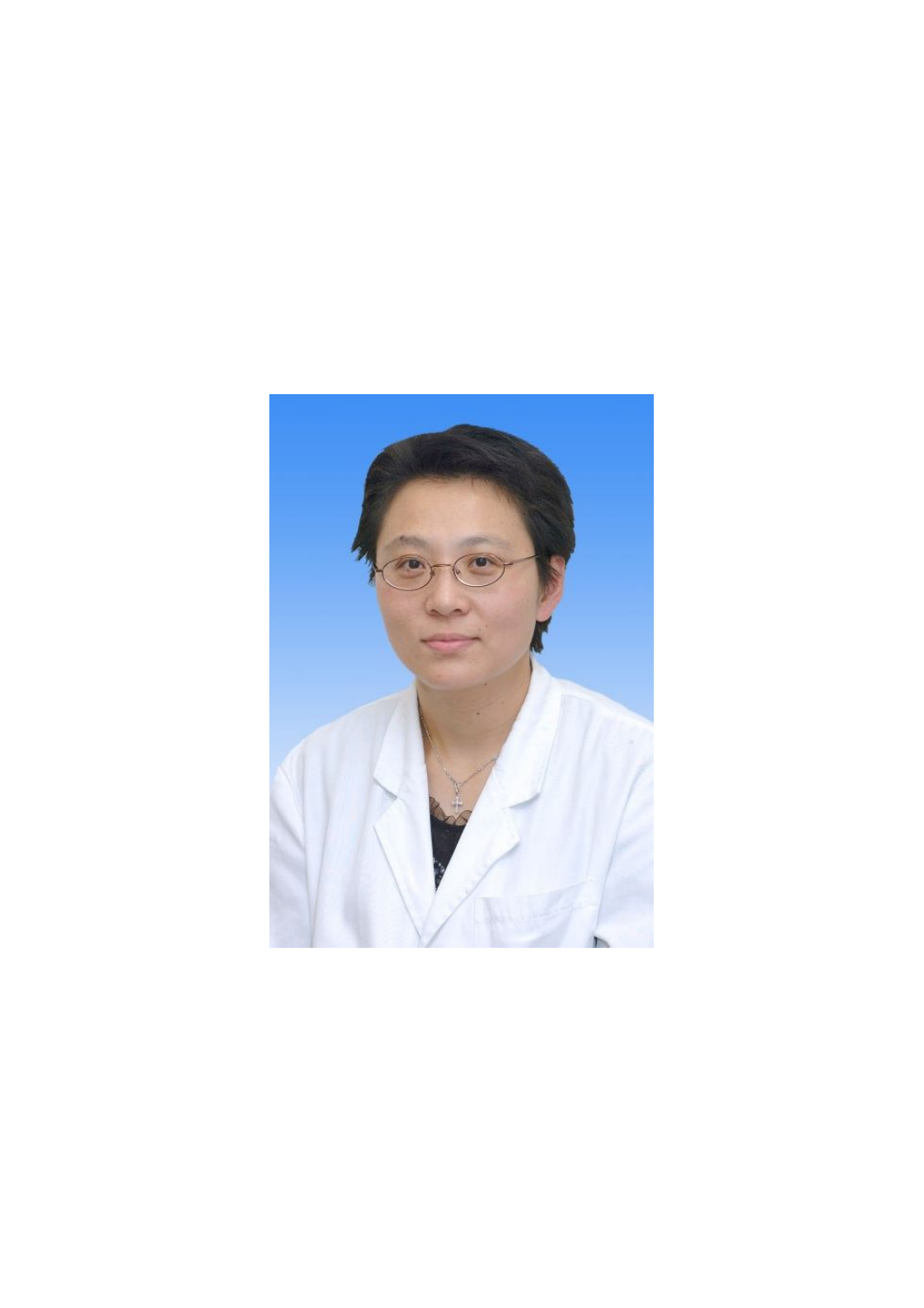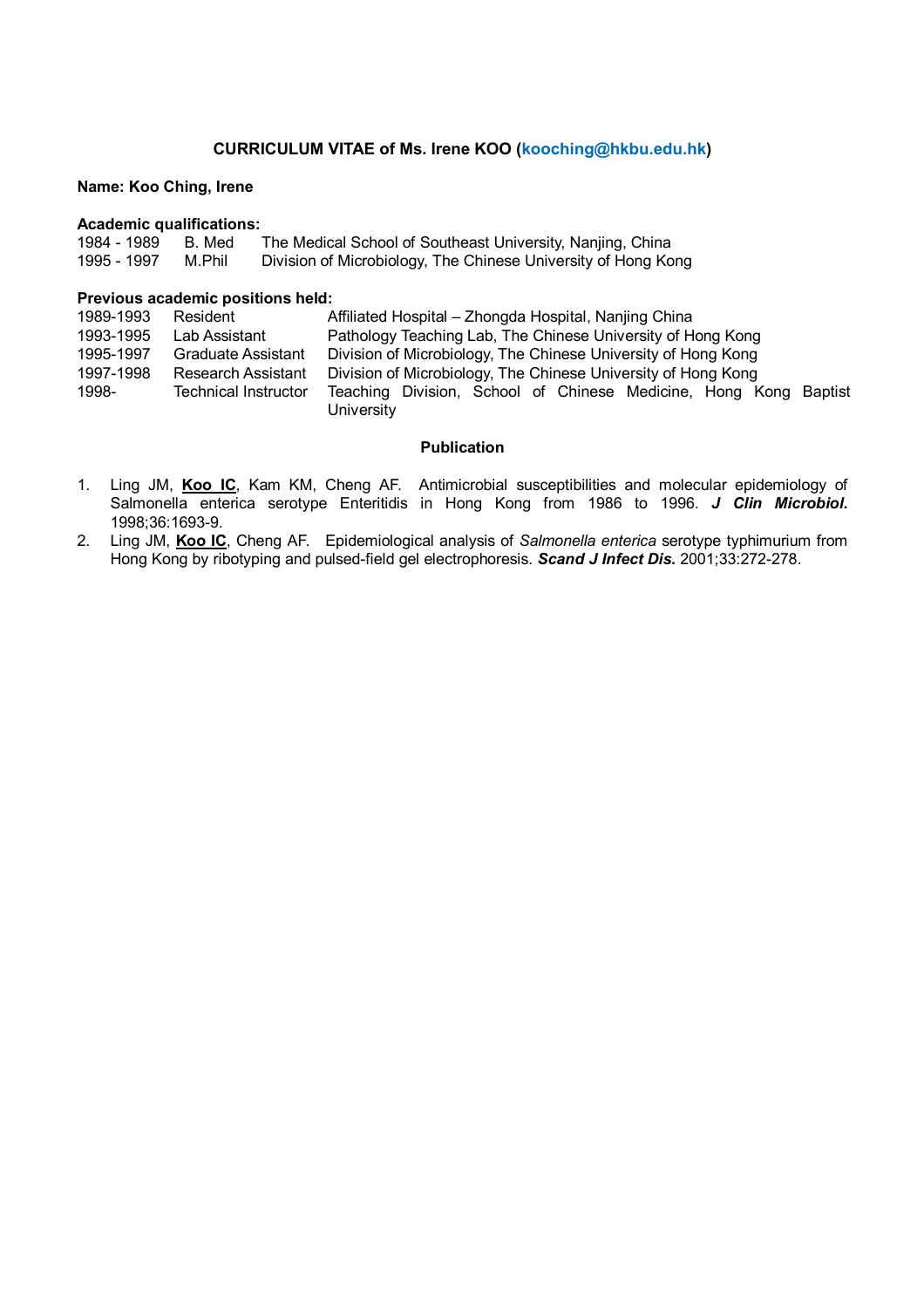# **CURRICULUM VITAE of Ms. Irene KOO (kooching@hkbu.edu.hk)**

## **Name: Koo Ching, Irene**

#### **Academic qualifications:**

| 1984 - 1989 B. Med |        | The Medical School of Southeast University, Nanjing, China    |
|--------------------|--------|---------------------------------------------------------------|
| 1995 - 1997        | M.Phil | Division of Microbiology, The Chinese University of Hong Kong |

## **Previous academic positions held:**

| 1989-1993 | Resident                  | Affiliated Hospital - Zhongda Hospital, Nanjing China                          |
|-----------|---------------------------|--------------------------------------------------------------------------------|
| 1993-1995 | Lab Assistant             | Pathology Teaching Lab, The Chinese University of Hong Kong                    |
| 1995-1997 | <b>Graduate Assistant</b> | Division of Microbiology, The Chinese University of Hong Kong                  |
| 1997-1998 | <b>Research Assistant</b> | Division of Microbiology, The Chinese University of Hong Kong                  |
| 1998-     | Technical Instructor      | Teaching Division, School of Chinese Medicine, Hong Kong Baptist<br>University |

#### **Publication**

- 1. Ling JM, **Koo IC**, Kam KM, Cheng AF. Antimicrobial susceptibilities and molecular epidemiology of Salmonella enterica serotype Enteritidis in Hong Kong from 1986 to 1996. *J Clin Microbiol***.**  1998;36:1693-9.
- 2. Ling JM, **Koo IC**, Cheng AF. Epidemiological analysis of *Salmonella enterica* serotype typhimurium from Hong Kong by ribotyping and pulsed-field gel electrophoresis. *Scand J Infect Dis***.** 2001;33:272-278.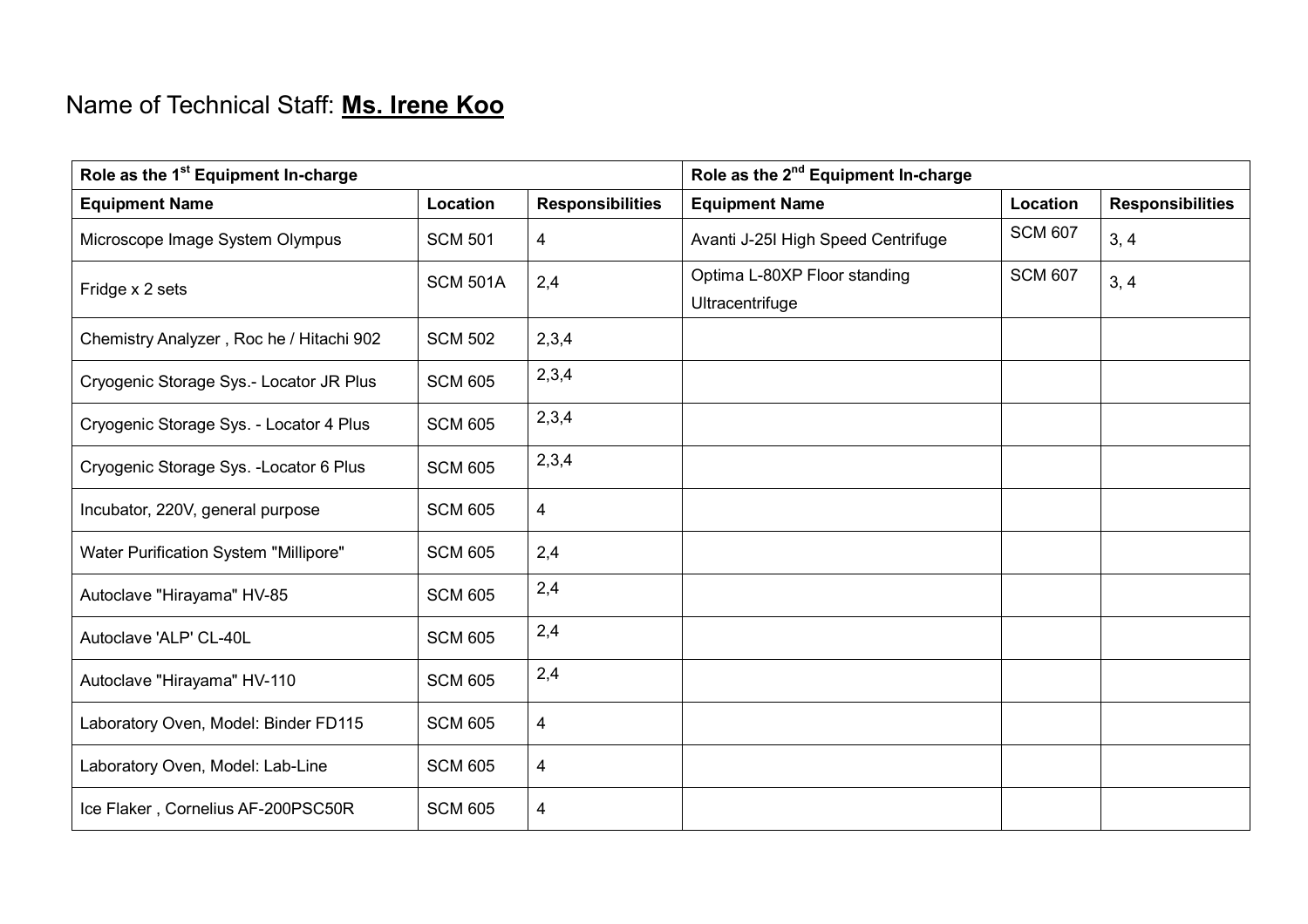# Name of Technical Staff: **Ms. Irene Koo**

| Role as the 1 <sup>st</sup> Equipment In-charge |                 | Role as the 2 <sup>nd</sup> Equipment In-charge |                                                 |                |                         |
|-------------------------------------------------|-----------------|-------------------------------------------------|-------------------------------------------------|----------------|-------------------------|
| <b>Equipment Name</b>                           | Location        | <b>Responsibilities</b>                         | <b>Equipment Name</b>                           | Location       | <b>Responsibilities</b> |
| Microscope Image System Olympus                 | <b>SCM 501</b>  | 4                                               | Avanti J-25I High Speed Centrifuge              | <b>SCM 607</b> | 3, 4                    |
| Fridge x 2 sets                                 | <b>SCM 501A</b> | 2,4                                             | Optima L-80XP Floor standing<br>Ultracentrifuge | <b>SCM 607</b> | 3, 4                    |
| Chemistry Analyzer, Roc he / Hitachi 902        | <b>SCM 502</b>  | 2,3,4                                           |                                                 |                |                         |
| Cryogenic Storage Sys.- Locator JR Plus         | <b>SCM 605</b>  | 2,3,4                                           |                                                 |                |                         |
| Cryogenic Storage Sys. - Locator 4 Plus         | <b>SCM 605</b>  | 2,3,4                                           |                                                 |                |                         |
| Cryogenic Storage Sys. - Locator 6 Plus         | <b>SCM 605</b>  | 2,3,4                                           |                                                 |                |                         |
| Incubator, 220V, general purpose                | <b>SCM 605</b>  | 4                                               |                                                 |                |                         |
| Water Purification System "Millipore"           | <b>SCM 605</b>  | 2,4                                             |                                                 |                |                         |
| Autoclave "Hirayama" HV-85                      | <b>SCM 605</b>  | 2,4                                             |                                                 |                |                         |
| Autoclave 'ALP' CL-40L                          | <b>SCM 605</b>  | 2,4                                             |                                                 |                |                         |
| Autoclave "Hirayama" HV-110                     | <b>SCM 605</b>  | 2,4                                             |                                                 |                |                         |
| Laboratory Oven, Model: Binder FD115            | <b>SCM 605</b>  | 4                                               |                                                 |                |                         |
| Laboratory Oven, Model: Lab-Line                | <b>SCM 605</b>  | 4                                               |                                                 |                |                         |
| Ice Flaker, Cornelius AF-200PSC50R              | <b>SCM 605</b>  | 4                                               |                                                 |                |                         |